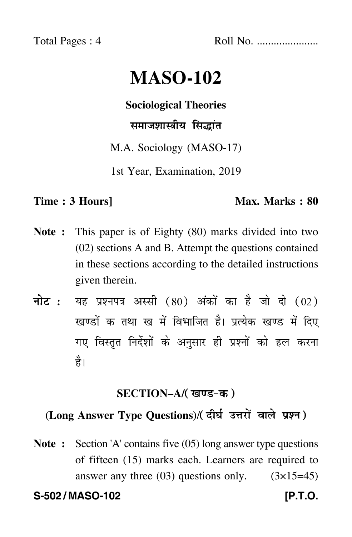Total Pages : 4 Roll No. ......................

# **MASO-102**

**Sociological Theories**

समाजशास्त्रीय सिद्धांत

M.A. Sociology (MASO-17)

1st Year, Examination, 2019

#### **Time : 3 Hours]** Max. Marks : 80

- **Note :** This paper is of Eighty (80) marks divided into two (02) sections A and B. Attempt the questions contained in these sections according to the detailed instructions given therein.
- नोट : यह प्रश्नपत्र अस्सी (80) अंकों का है जो दो (02) खण्डों क तथा ख में विभाजित है। प्रत्येक खण्ड में दिए गए विस्तृत निर्देशों के अनुसार ही प्रश्नों को हल करन<mark>ा</mark> है।

#### **SECTION–A/**

## **(Long Answer Type Questions)**/ !

**Note :** Section 'A' contains five (05) long answer type questions of fifteen (15) marks each. Learners are required to answer any three  $(03)$  questions only.  $(3\times15=45)$ 

**S-502 / MASO-102 [P.T.O.**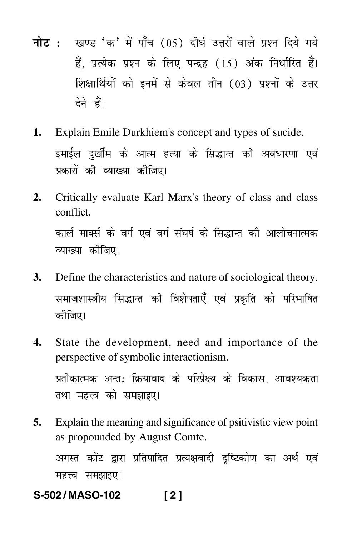- <mark>नोट</mark> : खण्ड 'क' में पाँच (05) दीर्घ उत्तरों वाले प्रश्न दिये गये हैं, प्रत्येक प्रश्न के लिए पन्द्रह (15) अंक निर्धारित हैं। शिक्षार्थियों को इनमें से केवल तीन (03) प्रश्नों के उत्तर देने हैं।
- **1.** Explain Emile Durkhiem's concept and types of sucide. इमाईल दुर्खीम के आत्म हत्या के सिद्धान्त की अवधारणा एवं प्रकारों की व्याख्या कीजिए।
- **2.** Critically evaluate Karl Marx's theory of class and class conflict. कार्ल मार्क्स के वर्ग एवं वर्ग संघर्ष के सिद्धान्त की आलोचनात्मक व्याख्या कीजिए।
- **3.** Define the characteristics and nature of sociological theory. समाजशास्त्रीय सिद्धान्त की विशेषताएँ एवं प्रकृति को परिभाषित कीजिए।
- **4.** State the development, need and importance of the perspective of symbolic interactionism. प्रतीकात्मक अन्त: क्रियावाद के परिप्रेक्ष्य के विकास, आवश्यकता तथा महत्त्व को समझाइए।
- **5.** Explain the meaning and significance of psitivistic view point as propounded by August Comte.

अगस्त कोंट द्वारा प्रतिपादित प्रत्यक्षवादी दृष्टिकोण का अर्थ एवं महत्त्व समझाइए।

**S-502 / MASO-102 [ 2 ]**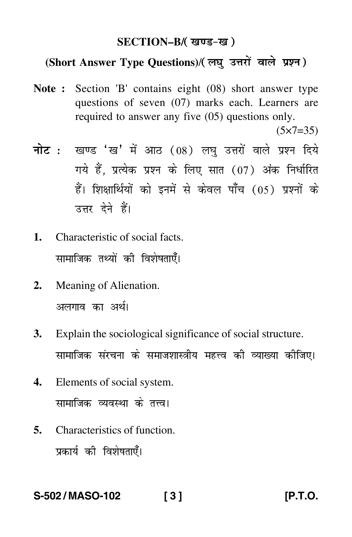#### **SECTION–B/**

### (Short Answer Type Questions)/(लघु उत्तरों वाले प्रश्न)

**Note :** Section 'B' contains eight (08) short answer type questions of seven (07) marks each. Learners are required to answer any five (05) questions only.

 $(5 \times 7 = 35)$ 

- <mark>नोट</mark> : खण्ड 'ख' में आठ (08) लघु उत्तरों वाले प्रश्न दिये गये हैं, प्रत्येक प्रश्न के लिए सात (07) अंक निर्धारित हैं। शिक्षार्थियों को इनमें से केवल पाँच (05) प्रश्नों के उत्तर देने हैं।
- **1.** Characteristic of social facts. सामाजिक तथ्यों की विशेषताएँ।
- **2.** Meaning of Alienation. अलगाव का अर्थ।
- **3.** Explain the sociological significance of social structure. सामाजिक संरचना के समाजशास्त्रीय महत्त्व की व्याख्या कीजिए।
- **4.** Elements of social system. सामाजिक व्यवस्था के तत्त्व।
- **5.** Characteristics of function. प्रकार्य की विशेषताएँ।